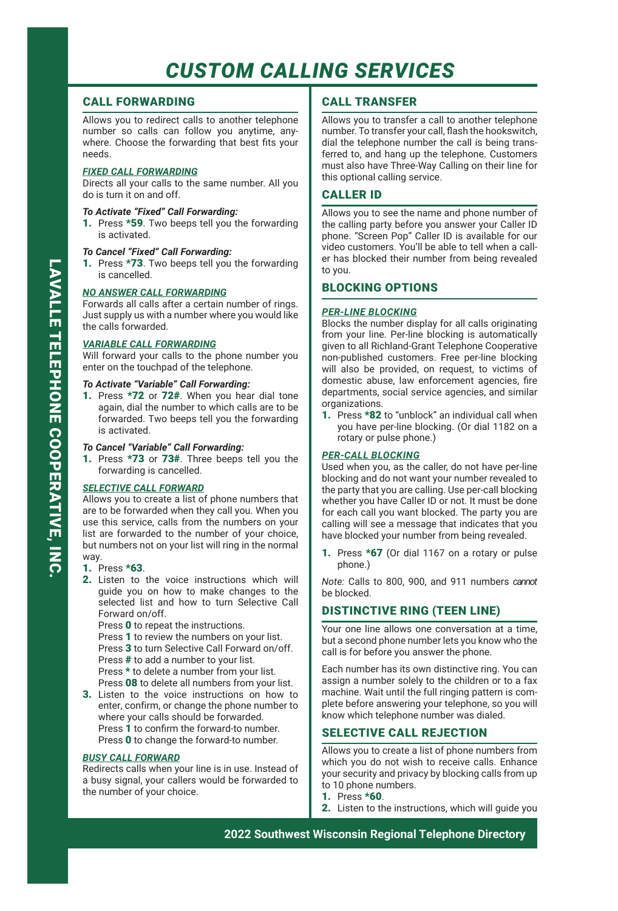# *CUSTOM CALLING SERVICES*

# CALL FORWARDING

Allows you to redirect calls to another telephone number so calls can follow you anytime, anywhere. Choose the forwarding that best fits your needs.

## *FIXED CALL FORWARDING*

Directs all your calls to the same number. All you do is turn it on and off.

## *To Activate "Fixed" Call Forwarding:*

1. Press \*59. Two beeps tell you the forwarding is activated.

### *To Cancel "Fixed" Call Forwarding:*

1. Press \*73. Two beeps tell you the forwarding is cancelled.

### *NO ANSWER CALL FORWARDING*

Forwards all calls after a certain number of rings. Just supply us with a number where you would like the calls forwarded.

### *VARIABLE CALL FORWARDING*

Will forward your calls to the phone number you enter on the touchpad of the telephone.

## *To Activate "Variable" Call Forwarding:*

1. Press \*72 or 72#. When you hear dial tone again, dial the number to which calls are to be forwarded. Two beeps tell you the forwarding is activated.

## *To Cancel "Variable" Call Forwarding:*

1. Press \*73 or 73#. Three beeps tell you the forwarding is cancelled.

## *SELECTIVE CALL FORWARD*

Allows you to create a list of phone numbers that are to be forwarded when they call you. When you use this service, calls from the numbers on your list are forwarded to the number of your choice, but numbers not on your list will ring in the normal way.

#### 1. Press \*63.

- 2. Listen to the voice instructions which will guide you on how to make changes to the selected list and how to turn Selective Call Forward on/off.
	- Press 0 to repeat the instructions.
	- Press 1 to review the numbers on your list.
	- Press 3 to turn Selective Call Forward on/off.
	- Press # to add a number to your list.

Press \* to delete a number from your list.

- Press 08 to delete all numbers from your list. 3. Listen to the voice instructions on how to enter, confirm, or change the phone number to where your calls should be forwarded.
- Press 1 to confirm the forward-to number. Press 0 to change the forward-to number.

## *BUSY CALL FORWARD*

Redirects calls when your line is in use. Instead of a busy signal, your callers would be forwarded to the number of your choice.

# CALL TRANSFER

Allows you to transfer a call to another telephone number. To transfer your call, flash the hookswitch, dial the telephone number the call is being transferred to, and hang up the telephone. Customers must also have Three-Way Calling on their line for this optional calling service.

## CALLER ID

Allows you to see the name and phone number of the calling party before you answer your Caller ID phone. "Screen Pop" Caller ID is available for our video customers. You'll be able to tell when a caller has blocked their number from being revealed to you.

## BLOCKING OPTIONS

### *PER-LINE BLOCKING*

Blocks the number display for all calls originating from your line. Per-line blocking is automatically given to all Richland-Grant Telephone Cooperative non-published customers. Free per-line blocking will also be provided, on request, to victims of domestic abuse, law enforcement agencies, fire departments, social service agencies, and similar organizations.

1. Press \*82 to "unblock" an individual call when you have per-line blocking. (Or dial 1182 on a rotary or pulse phone.)

## *PER-CALL BLOCKING*

Used when you, as the caller, do not have per-line blocking and do not want your number revealed to the party that you are calling. Use per-call blocking whether you have Caller ID or not. It must be done for each call you want blocked. The party you are calling will see a message that indicates that you have blocked your number from being revealed.

1. Press \*67 (Or dial 1167 on a rotary or pulse phone.)

*Note:* Calls to 800, 900, and 911 numbers *cannot* be blocked.

# DISTINCTIVE RING (TEEN LINE)

Your one line allows one conversation at a time, but a second phone number lets you know who the call is for before you answer the phone.

Each number has its own distinctive ring. You can assign a number solely to the children or to a fax machine. Wait until the full ringing pattern is complete before answering your telephone, so you will know which telephone number was dialed.

## SELECTIVE CALL REJECTION

Allows you to create a list of phone numbers from which you do not wish to receive calls. Enhance your security and privacy by blocking calls from up to 10 phone numbers.

- 1. Press \*60.
- 2. Listen to the instructions, which will guide you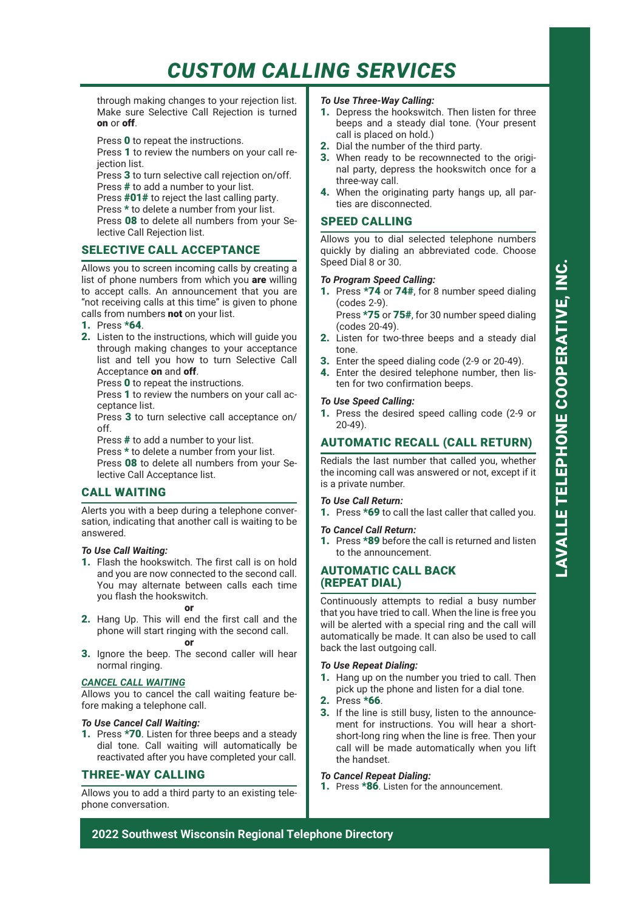# *CUSTOM CALLING SERVICES*

through making changes to your rejection list. Make sure Selective Call Rejection is turned on or off.

Press 0 to repeat the instructions.

Press 1 to review the numbers on your call rejection list.

Press 3 to turn selective call rejection on/off. Press # to add a number to your list.

Press **#01#** to reject the last calling party.

Press \* to delete a number from your list.

Press 08 to delete all numbers from your Selective Call Rejection list.

## SELECTIVE CALL ACCEPTANCE

Allows you to screen incoming calls by creating a list of phone numbers from which you are willing to accept calls. An announcement that you are "not receiving calls at this time" is given to phone calls from numbers not on your list.

- 1. Press \*64.
- 2. Listen to the instructions, which will guide you through making changes to your acceptance list and tell you how to turn Selective Call Acceptance on and off.

Press 0 to repeat the instructions.

Press 1 to review the numbers on your call acceptance list.

Press 3 to turn selective call acceptance on/ off.

Press # to add a number to your list.

Press \* to delete a number from your list. Press 08 to delete all numbers from your Selective Call Acceptance list.

# CALL WAITING

Alerts you with a beep during a telephone conversation, indicating that another call is waiting to be answered.

#### *To Use Call Waiting:*

1. Flash the hookswitch. The first call is on hold and you are now connected to the second call. You may alternate between calls each time you flash the hookswitch.

#### or

2. Hang Up. This will end the first call and the phone will start ringing with the second call.

#### or

3. Ignore the beep. The second caller will hear normal ringing.

#### *CANCEL CALL WAITING*

Allows you to cancel the call waiting feature before making a telephone call.

## *To Use Cancel Call Waiting:*

1. Press \*70. Listen for three beeps and a steady dial tone. Call waiting will automatically be reactivated after you have completed your call.

## THREE-WAY CALLING

Allows you to add a third party to an existing telephone conversation.

## *To Use Three-Way Calling:*

- 1. Depress the hookswitch. Then listen for three beeps and a steady dial tone. (Your present call is placed on hold.)
- 2. Dial the number of the third party.
- 3. When ready to be recownnected to the original party, depress the hookswitch once for a three-way call.
- 4. When the originating party hangs up, all parties are disconnected.

## SPEED CALLING

Allows you to dial selected telephone numbers quickly by dialing an abbreviated code. Choose Speed Dial 8 or 30.

#### *To Program Speed Calling:*

1. Press \*74 or 74#, for 8 number speed dialing (codes 2-9).

Press \*75 or 75#, for 30 number speed dialing (codes 20-49).

- 2. Listen for two-three beeps and a steady dial tone.
- 3. Enter the speed dialing code (2-9 or 20-49).

ten for two confirmation beeps.

4. Enter the desired telephone number, then lis-

## *To Use Speed Calling:*

1. Press the desired speed calling code (2-9 or 20-49).

# AUTOMATIC RECALL (CALL RETURN)

Redials the last number that called you, whether the incoming call was answered or not, except if it is a private number.

### *To Use Call Return:*

1. Press \*69 to call the last caller that called you.

#### *To Cancel Call Return:*

1. Press \*89 before the call is returned and listen to the announcement.

## AUTOMATIC CALL BACK (REPEAT DIAL)

Continuously attempts to redial a busy number that you have tried to call. When the line is free you will be alerted with a special ring and the call will automatically be made. It can also be used to call back the last outgoing call.

#### *To Use Repeat Dialing:*

- 1. Hang up on the number you tried to call. Then pick up the phone and listen for a dial tone.
- 2. Press \*66.
- 3. If the line is still busy, listen to the announcement for instructions. You will hear a shortshort-long ring when the line is free. Then your call will be made automatically when you lift the handset.

## *To Cancel Repeat Dialing:*

1. Press \*86. Listen for the announcement.

**2022 Southwest Wisconsin Regional Telephone Directory**